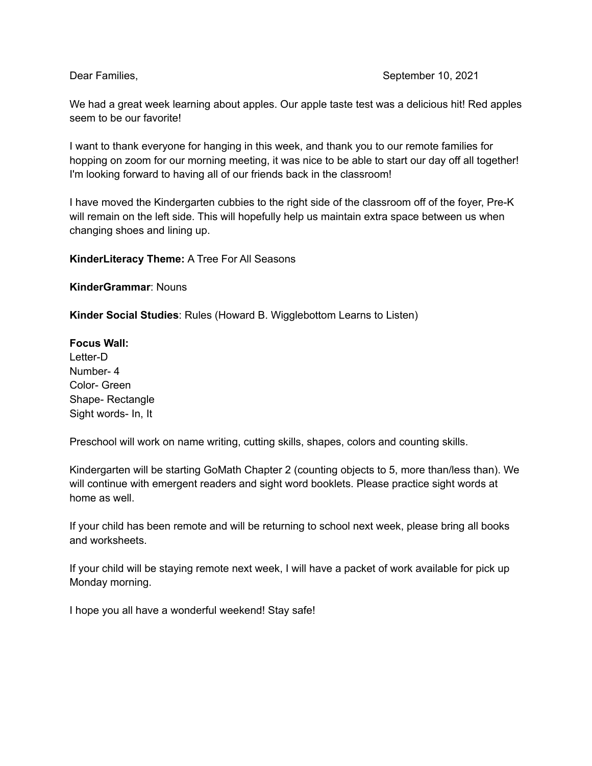We had a great week learning about apples. Our apple taste test was a delicious hit! Red apples seem to be our favorite!

I want to thank everyone for hanging in this week, and thank you to our remote families for hopping on zoom for our morning meeting, it was nice to be able to start our day off all together! I'm looking forward to having all of our friends back in the classroom!

I have moved the Kindergarten cubbies to the right side of the classroom off of the foyer, Pre-K will remain on the left side. This will hopefully help us maintain extra space between us when changing shoes and lining up.

**KinderLiteracy Theme:** A Tree For All Seasons

**KinderGrammar**: Nouns

**Kinder Social Studies**: Rules (Howard B. Wigglebottom Learns to Listen)

## **Focus Wall:**

Letter-D Number- 4 Color- Green Shape- Rectangle Sight words- In, It

Preschool will work on name writing, cutting skills, shapes, colors and counting skills.

Kindergarten will be starting GoMath Chapter 2 (counting objects to 5, more than/less than). We will continue with emergent readers and sight word booklets. Please practice sight words at home as well.

If your child has been remote and will be returning to school next week, please bring all books and worksheets.

If your child will be staying remote next week, I will have a packet of work available for pick up Monday morning.

I hope you all have a wonderful weekend! Stay safe!